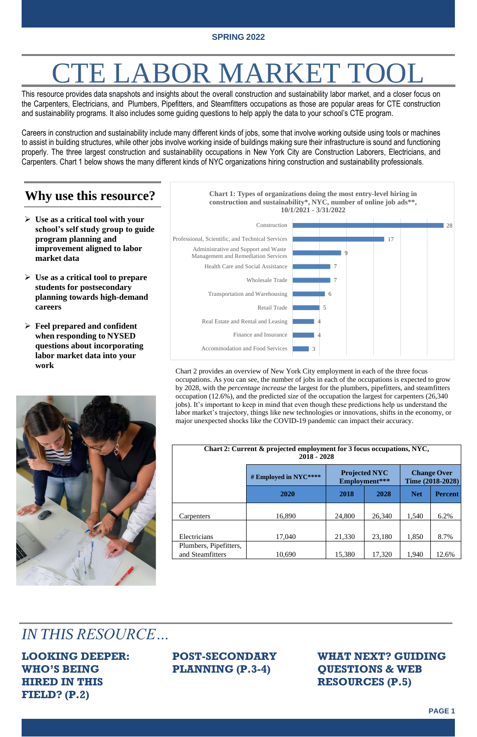**PAGE 1**



# E LABOR MARKET TO

This resource provides data snapshots and insights about the overall construction and sustainability labor market, and a closer focus on the Carpenters, Electricians, and [Plumbers, Pipefitters, and Steamfitters](https://www.bls.gov/soc/2018/major_groups.htm) occupations as those are popular areas for CTE construction and sustainability programs. It also includes some guiding questions to help apply the data to your school's CTE program.

Careers in construction and sustainability include many different kinds of jobs, some that involve working outside using tools or machines to assist in building structures, while other jobs involve working inside of buildings making sure their infrastructure is sound and functioning properly. The three largest construction and sustainability occupations in New York City are Construction Laborers, Electricians, and Carpenters. Chart 1 below shows the many different kinds of NYC organizations hiring construction and sustainability professionals.

#### **Why use this resource?**

- ➢ **Use as a critical tool with your school's self study group to guide program planning and improvement aligned to labor market data**
- ➢ **Use as a critical tool to prepare students for postsecondary planning towards high-demand careers**
- ➢ **Feel prepared and confident when responding to NYSED questions about incorporating labor market data into your work**



*IN THIS RESOURCE…*

**LOOKING DEEPER: WHO'S BEING HIRED IN THIS FIELD? (P.2)**

**POST-SECONDARY PLANNING (P.3-4)**

**WHAT NEXT? GUIDING QUESTIONS & WEB RESOURCES (P.5)**

| Chart 2: Current & projected employment for 3 focus occupations, NYC,<br>$2018 - 2028$ |                       |                                       |        |                                        |                |
|----------------------------------------------------------------------------------------|-----------------------|---------------------------------------|--------|----------------------------------------|----------------|
|                                                                                        | # Employed in NYC**** | <b>Projected NYC</b><br>Employment*** |        | <b>Change Over</b><br>Time (2018-2028) |                |
|                                                                                        | 2020                  | 2018                                  | 2028   | <b>Net</b>                             | <b>Percent</b> |
| Carpenters                                                                             | 16,890                | 24,800                                | 26,340 | 1,540                                  | 6.2%           |
| Electricians                                                                           | 17,040                | 21,330                                | 23,180 | 1,850                                  | 8.7%           |
| Plumbers, Pipefitters,<br>and Steamfitters                                             | 10,690                | 15,380                                | 17,320 | 1,940                                  | 12.6%          |

Chart 2 provides an overview of New York City employment in each of the three focus occupations. As you can see, the number of jobs in each of the occupations is expected to grow by 2028, with the *percentage increase* the largest for the plumbers, pipefitters, and steamfitters occupation (12.6%), and the predicted *size* of the occupation the largest for carpenters (26,340 jobs). It's important to keep in mind that even though these predictions help us understand the labor market's trajectory, things like new technologies or innovations, shifts in the economy, or major unexpected shocks like the COVID-19 pandemic can impact their accuracy.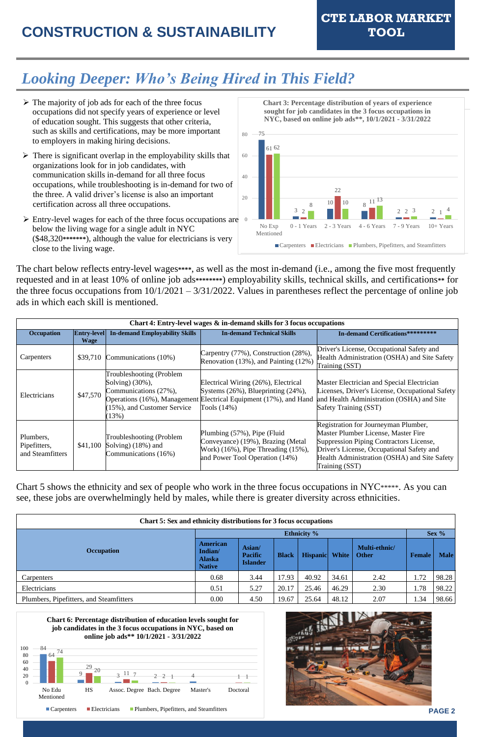### **CONSTRUCTION & SUSTAINABILITY TOOL**

**CTE LABOR MARKET**

**PAGE 2**





**Chart 6: Percentage distribution of education levels sought for job candidates in the 3 focus occupations in NYC, based on online job ads\*\* 10/1/2021 - 3/31/2022**



**Chart 3: Percentage distribution of years of experience sought for job candidates in the 3 focus occupations in NYC, based on online job ads\*\*, 10/1/2021 - 3/31/2022**

### *Looking Deeper: Who's Being Hired in This Field?*

The chart below reflects entry-level wages**\*\*\*\***, as well as the most in-demand (i.e., among the five most frequently requested and in at least 10% of online job ads**\*\*\*\*\*\*\*\***) employability skills, technical skills, and certifications**\*\*** for the three focus occupations from  $10/1/2021 - 3/31/2022$ . Values in parentheses reflect the percentage of online job ads in which each skill is mentioned.

Chart 5 shows the ethnicity and sex of people who work in the three focus occupations in NYC\*\*\*\*\*. As you can see, these jobs are overwhelmingly held by males, while there is greater diversity across ethnicities.

| Chart 5: Sex and ethnicity distributions for 3 focus occupations |                                                              |                                             |              |                |       |                               |               |             |
|------------------------------------------------------------------|--------------------------------------------------------------|---------------------------------------------|--------------|----------------|-------|-------------------------------|---------------|-------------|
|                                                                  | <b>Ethnicity</b> %                                           |                                             |              |                |       | Sex $%$                       |               |             |
| <b>Occupation</b>                                                | <b>American</b><br>Indian/<br><b>Alaska</b><br><b>Native</b> | Asian/<br><b>Pacific</b><br><b>Islander</b> | <b>Black</b> | Hispanic White |       | Multi-ethnic/<br><b>Other</b> | <b>Female</b> | <b>Male</b> |
| Carpenters                                                       | 0.68                                                         | 3.44                                        | 17.93        | 40.92          | 34.61 | 2.42                          | 1.72          | 98.28       |
| Electricians                                                     | 0.51                                                         | 5.27                                        | 20.17        | 25.46          | 46.29 | 2.30                          | 1.78          | 98.22       |
| Plumbers, Pipefitters, and Steamfitters                          | 0.00                                                         | 4.50                                        | 19.67        | 25.64          | 48.12 | 2.07                          | 1.34          | 98.66       |

- ➢ The majority of job ads for each of the three focus occupations did not specify years of experience or level of education sought. This suggests that other criteria, such as skills and certifications, may be more important to employers in making hiring decisions.
- $\triangleright$  There is significant overlap in the employability skills that organizations look for in job candidates, with communication skills in-demand for all three focus occupations, while troubleshooting is in-demand for two of the three. A valid driver's license is also an important certification across all three occupations.
- ➢ Entry-level wages for each of the three focus occupations are below the living wage for a single adult in NYC (\$48,320**\*\*\*\*\*\*\***), although the value for electricians is very close to the living wage.

| Chart 4: Entry-level wages & in-demand skills for 3 focus occupations |                                   |                                                                                                                  |                                                                                                                                                               |                                                                                                                                                                                                                                       |  |
|-----------------------------------------------------------------------|-----------------------------------|------------------------------------------------------------------------------------------------------------------|---------------------------------------------------------------------------------------------------------------------------------------------------------------|---------------------------------------------------------------------------------------------------------------------------------------------------------------------------------------------------------------------------------------|--|
| Occupation                                                            | <b>Entry-level</b><br><b>Wage</b> | <b>In-demand Employability Skills</b>                                                                            | <b>In-demand Technical Skills</b>                                                                                                                             | <b>In-demand Certifications*********</b>                                                                                                                                                                                              |  |
| Carpenters                                                            | \$39,710                          | Communications (10%)                                                                                             | Carpentry (77%), Construction (28%),<br>Renovation (13%), and Painting (12%)                                                                                  | Driver's License, Occupational Safety and<br>Health Administration (OSHA) and Site Safety<br>Training (SST)                                                                                                                           |  |
| Electricians                                                          | \$47,570                          | Troubleshooting (Problem<br>Solving) (30%),<br>Communications (27%),<br>$(15\%)$ , and Customer Service<br>(13%) | Electrical Wiring (26%), Electrical<br>Systems (26%), Blueprinting (24%),<br>Operations (16%), Management Electrical Equipment (17%), and Hand<br>Tools (14%) | Master Electrician and Special Electrician<br>Licenses, Driver's License, Occupational Safety<br>and Health Administration (OSHA) and Site<br>Safety Training (SST)                                                                   |  |
| Plumbers,<br>Pipefitters,<br>and Steamfitters                         | \$41,100                          | Troubleshooting (Problem<br>Solving) (18%) and<br>Communications (16%)                                           | Plumbing (57%), Pipe (Fluid<br>Conveyance) (19%), Brazing (Metal<br>Work) (16%), Pipe Threading (15%),<br>and Power Tool Operation (14%)                      | Registration for Journeyman Plumber,<br>Master Plumber License, Master Fire<br>Suppression Piping Contractors License,<br>Driver's License, Occupational Safety and<br>Health Administration (OSHA) and Site Safety<br>Training (SST) |  |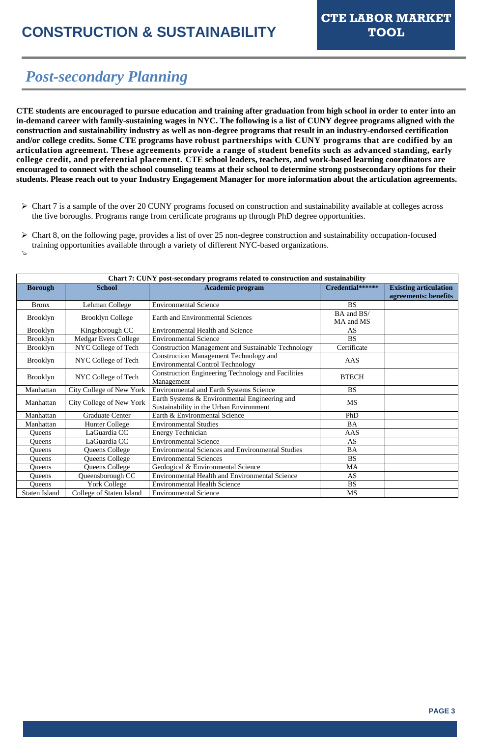**PAGE 3**

### *Post-secondary Planning*

**CTE students are encouraged to pursue education and training after graduation from high school in order to enter into an in-demand career with family-sustaining wages in NYC. The following is a list of CUNY degree programs aligned with the construction and sustainability industry as well as non-degree programs that result in an industry-endorsed certification and/or college credits. Some CTE programs have robust partnerships with CUNY programs that are codified by an articulation agreement. These agreements provide a range of student benefits such as advanced standing, early college credit, and preferential placement. CTE school leaders, teachers, and work-based learning coordinators are encouraged to connect with the school counseling teams at their school to determine strong postsecondary options for their students. Please reach out to your Industry Engagement Manager for more information about the articulation agreements.**

 $\triangleright$  Chart 7 is a sample of the over 20 CUNY programs focused on construction and sustainability available at colleges across the five boroughs. Programs range from certificate programs up through PhD degree opportunities.

| $\triangleright$ Chart 8, on the following page, provides a list of over 25 non-degree construction and sustainability occupation-focused |
|-------------------------------------------------------------------------------------------------------------------------------------------|
| training opportunities available through a variety of different NYC-based organizations.                                                  |
|                                                                                                                                           |

| Chart 7: CUNY post-secondary programs related to construction and sustainability |                             |                                                                                          |                         |                                                      |  |  |
|----------------------------------------------------------------------------------|-----------------------------|------------------------------------------------------------------------------------------|-------------------------|------------------------------------------------------|--|--|
| <b>Borough</b>                                                                   | <b>School</b>               | <b>Academic program</b>                                                                  | Credential******        | <b>Existing articulation</b><br>agreements: benefits |  |  |
| <b>Bronx</b>                                                                     | Lehman College              | <b>Environmental Science</b>                                                             | <b>BS</b>               |                                                      |  |  |
| <b>Brooklyn</b>                                                                  | <b>Brooklyn College</b>     | <b>Earth and Environmental Sciences</b>                                                  | BA and BS/<br>MA and MS |                                                      |  |  |
| <b>Brooklyn</b>                                                                  | Kingsborough CC             | <b>Environmental Health and Science</b>                                                  | <b>AS</b>               |                                                      |  |  |
| <b>Brooklyn</b>                                                                  | <b>Medgar Evers College</b> | <b>Environmental Science</b>                                                             | <b>BS</b>               |                                                      |  |  |
| <b>Brooklyn</b>                                                                  | NYC College of Tech         | <b>Construction Management and Sustainable Technology</b>                                | Certificate             |                                                      |  |  |
| <b>Brooklyn</b>                                                                  | NYC College of Tech         | <b>Construction Management Technology and</b><br><b>Environmental Control Technology</b> | AAS                     |                                                      |  |  |
| <b>Brooklyn</b>                                                                  | NYC College of Tech         | <b>Construction Engineering Technology and Facilities</b><br>Management                  | <b>BTECH</b>            |                                                      |  |  |
| Manhattan                                                                        | City College of New York    | <b>Environmental and Earth Systems Science</b>                                           | <b>BS</b>               |                                                      |  |  |
| Manhattan                                                                        | City College of New York    | Earth Systems & Environmental Engineering and<br>Sustainability in the Urban Environment | <b>MS</b>               |                                                      |  |  |
| Manhattan                                                                        | <b>Graduate Center</b>      | Earth & Environmental Science                                                            | PhD                     |                                                      |  |  |
| Manhattan                                                                        | <b>Hunter College</b>       | <b>Environmental Studies</b>                                                             | <b>BA</b>               |                                                      |  |  |
| <b>Queens</b>                                                                    | LaGuardia CC                | <b>Energy Technician</b>                                                                 | <b>AAS</b>              |                                                      |  |  |
| <b>Queens</b>                                                                    | LaGuardia CC                | <b>Environmental Science</b>                                                             | <b>AS</b>               |                                                      |  |  |
| Queens                                                                           | Queens College              | <b>Environmental Sciences and Environmental Studies</b>                                  | <b>BA</b>               |                                                      |  |  |
| Queens                                                                           | Queens College              | <b>Environmental Sciences</b>                                                            | <b>BS</b>               |                                                      |  |  |
| Queens                                                                           | Queens College              | Geological & Environmental Science                                                       | <b>MA</b>               |                                                      |  |  |
| Queens                                                                           | Queensborough CC            | <b>Environmental Health and Environmental Science</b>                                    | AS                      |                                                      |  |  |
| Queens                                                                           | York College                | <b>Environmental Health Science</b>                                                      | <b>BS</b>               |                                                      |  |  |
| <b>Staten Island</b>                                                             | College of Staten Island    | <b>Environmental Science</b>                                                             | <b>MS</b>               |                                                      |  |  |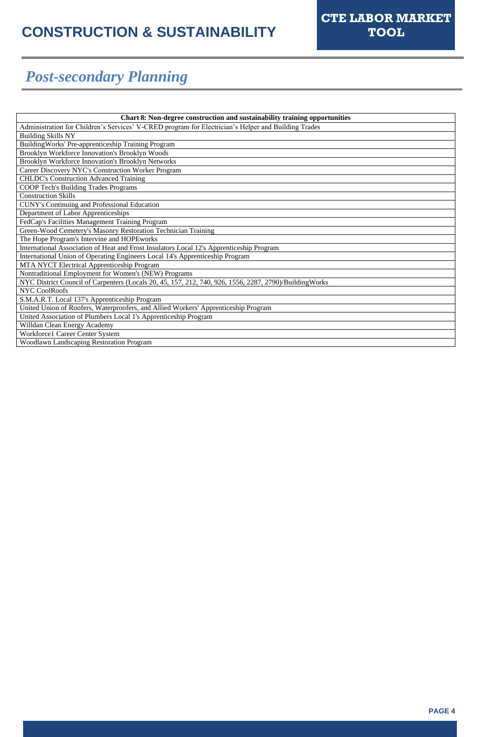**PAGE 4**

### *Post-secondary Planning*

| Chart 8: Non-degree construction and sustainability training opportunities                             |  |  |
|--------------------------------------------------------------------------------------------------------|--|--|
| Administration for Children's Services' V-CRED program for Electrician's Helper and Building Trades    |  |  |
| <b>Building Skills NY</b>                                                                              |  |  |
| Building Works' Pre-apprenticeship Training Program                                                    |  |  |
| Brooklyn Workforce Innovation's Brooklyn Woods                                                         |  |  |
| Brooklyn Workforce Innovation's Brooklyn Networks                                                      |  |  |
| Career Discovery NYC's Construction Worker Program                                                     |  |  |
| <b>CHLDC's Construction Advanced Training</b>                                                          |  |  |
| <b>COOP Tech's Building Trades Programs</b>                                                            |  |  |
| <b>Construction Skills</b>                                                                             |  |  |
| <b>CUNY's Continuing and Professional Education</b>                                                    |  |  |
| Department of Labor Apprenticeships                                                                    |  |  |
| FedCap's Facilities Management Training Program                                                        |  |  |
| Green-Wood Cemetery's Masonry Restoration Technician Training                                          |  |  |
| The Hope Program's Intervine and HOPEworks                                                             |  |  |
| International Association of Heat and Frost Insulators Local 12's Apprenticeship Program               |  |  |
| International Union of Operating Engineers Local 14's Apprenticeship Program                           |  |  |
| MTA NYCT Electrical Apprenticeship Program                                                             |  |  |
| Nontraditional Employment for Women's (NEW) Programs                                                   |  |  |
| NYC District Council of Carpenters (Locals 20, 45, 157, 212, 740, 926, 1556, 2287, 2790)/BuildingWorks |  |  |
| <b>NYC CoolRoofs</b>                                                                                   |  |  |
| S.M.A.R.T. Local 137's Apprenticeship Program                                                          |  |  |
| United Union of Roofers, Waterproofers, and Allied Workers' Apprenticeship Program                     |  |  |
| United Association of Plumbers Local 1's Apprenticeship Program                                        |  |  |
| Willdan Clean Energy Academy                                                                           |  |  |
| <b>Workforce1 Career Center System</b>                                                                 |  |  |
| Woodlawn Landscaping Restoration Program                                                               |  |  |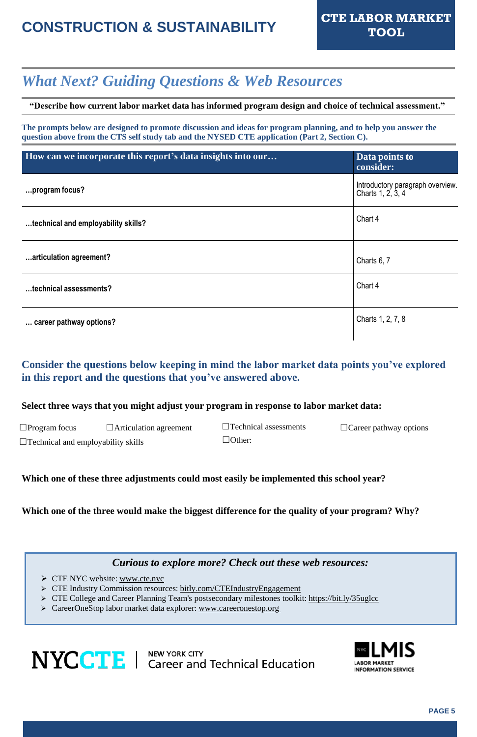## **CONSTRUCTION & SUSTAINABILITY CTE LABOR MARKET**

### *What Next? Guiding Questions & Web Resources*

**"Describe how current labor market data has informed program design and choice of technical assessment."**

**The prompts below are designed to promote discussion and ideas for program planning, and to help you answer the question above from the CTS self study tab and the NYSED CTE application (Part 2, Section C).**

| $\Box$ Program focus                      | $\Box$ Articulation agreement | $\Box$ Technical assessments | $\Box$ Career pathway options |
|-------------------------------------------|-------------------------------|------------------------------|-------------------------------|
| $\Box$ Technical and employability skills |                               | $\Box$ Other:                |                               |

| How can we incorporate this report's data insights into our | Data points to<br>consider:                           |
|-------------------------------------------------------------|-------------------------------------------------------|
| program focus?                                              | Introductory paragraph overview.<br>Charts 1, 2, 3, 4 |
| technical and employability skills?                         | Chart 4                                               |
| articulation agreement?                                     | Charts 6, 7                                           |
| technical assessments?                                      | Chart 4                                               |
| career pathway options?                                     | Charts 1, 2, 7, 8                                     |

#### **Consider the questions below keeping in mind the labor market data points you've explored in this report and the questions that you've answered above.**

#### **Select three ways that you might adjust your program in response to labor market data:**

#### **Which one of these three adjustments could most easily be implemented this school year?**

**Which one of the three would make the biggest difference for the quality of your program? Why?**

#### *Curious to explore more? Check out these web resources:*

- ➢ CTE NYC website: [www.cte.nyc](https://www.cte.nyc/)
- ➢ CTE Industry Commission resources: [bitly.com/CTEIndustryEngagement](http://bitly.com/CTEIndustryEngagement)
- ➢ CTE College and Career Planning Team's postsecondary milestones toolkit: <https://bit.ly/35uglcc>
- ➢ CareerOneStop labor market data explorer: [www.careeronestop.org](http://www.careeronestop.org/)

## **NYCCTE** | NEW YORK CITY